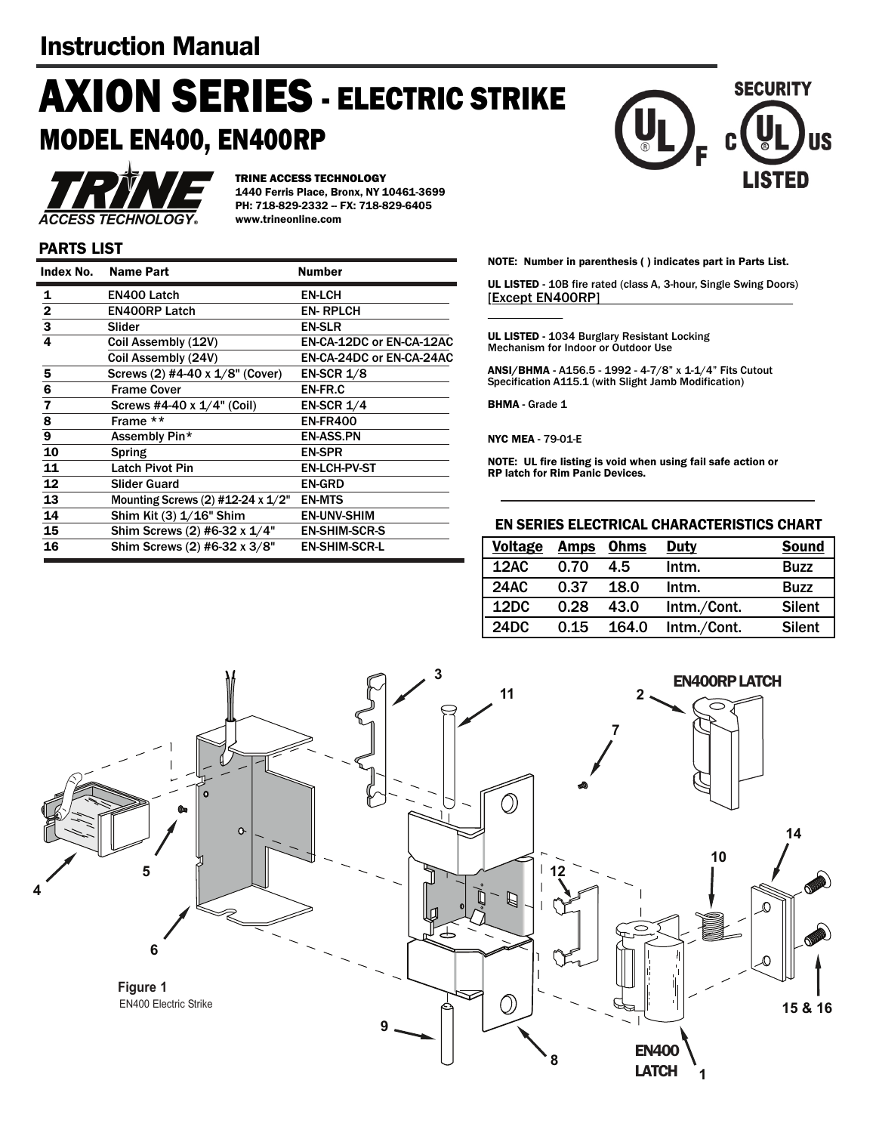# **AXION SERIES** - ELECTRIC STRIKE MODEL EN400, EN400RP



TRINE ACCESS TECHNOLOGY 1440 Ferris Place, Bronx, NY 10461-3699 PH: 718-829-2332 -- FX: 718-829-6405 www.trineonline.com

### PARTS LIST

| Index No.               | <b>Name Part</b>                  | <b>Number</b>            |
|-------------------------|-----------------------------------|--------------------------|
| 1                       | <b>EN400 Latch</b>                | <b>EN-LCH</b>            |
| $\overline{2}$          | <b>EN400RP Latch</b>              | <b>EN-RPLCH</b>          |
| $\overline{\mathbf{3}}$ | Slider                            | <b>EN-SLR</b>            |
| 4                       | Coil Assembly (12V)               | EN-CA-12DC or EN-CA-12AC |
|                         | Coil Assembly (24V)               | EN-CA-24DC or EN-CA-24AC |
| 5                       | Screws (2) #4-40 x 1/8" (Cover)   | <b>EN-SCR 1/8</b>        |
| 6                       | <b>Frame Cover</b>                | EN-FR.C                  |
| $\overline{\mathbf{z}}$ | Screws #4-40 x $1/4$ " (Coil)     | <b>EN-SCR 1/4</b>        |
| 8                       | Frame **                          | <b>EN-FR400</b>          |
| 9                       | Assembly Pin*                     | <b>EN-ASS.PN</b>         |
| 10                      | Spring                            | <b>EN-SPR</b>            |
| 11                      | <b>Latch Pivot Pin</b>            | <b>EN-LCH-PV-ST</b>      |
| 12                      | <b>Slider Guard</b>               | <b>EN-GRD</b>            |
| 13                      | Mounting Screws (2) #12-24 x 1/2" | <b>EN-MTS</b>            |
| 14                      | Shim Kit (3) 1/16" Shim           | <b>EN-UNV-SHIM</b>       |
| 15                      | Shim Screws (2) #6-32 x 1/4"      | <b>EN-SHIM-SCR-S</b>     |
| 16                      | Shim Screws (2) #6-32 x 3/8"      | <b>EN-SHIM-SCR-L</b>     |

**LISTED** 

**SECURITY** 

IS

NOTE: Number in parenthesis ( ) indicates part in Parts List.

UL LISTED - 10B fire rated (class A, 3-hour, Single Swing Doors) [Except EN400RP]

UL LISTED - 1034 Burglary Resistant Locking Mechanism for Indoor or Outdoor Use

ANSI/BHMA - A156.5 - 1992 - 4-7/8" x 1-1/4" Fits Cutout Specification A115.1 (with Slight Jamb Modification)

BHMA - Grade 1

NYC MEA - 79-01-E

NOTE: UL fire listing is void when using fail safe action or RP latch for Rim Panic Devices.

#### EN SERIES ELECTRICAL CHARACTERISTICS CHART

| <b>Voltage</b> | <b>Amps</b> Ohms |       | <b>Duty</b> | <b>Sound</b>  |
|----------------|------------------|-------|-------------|---------------|
| 12AC           | 0.70             | 4.5   | Intm.       | <b>Buzz</b>   |
| <b>24AC</b>    | 0.37             | 18.0  | Intm.       | <b>Buzz</b>   |
| 12DC           | 0.28             | 43.0  | Intm./Cont. | <b>Silent</b> |
| 24DC           | 0.15             | 164.0 | Intm./Cont. | <b>Silent</b> |

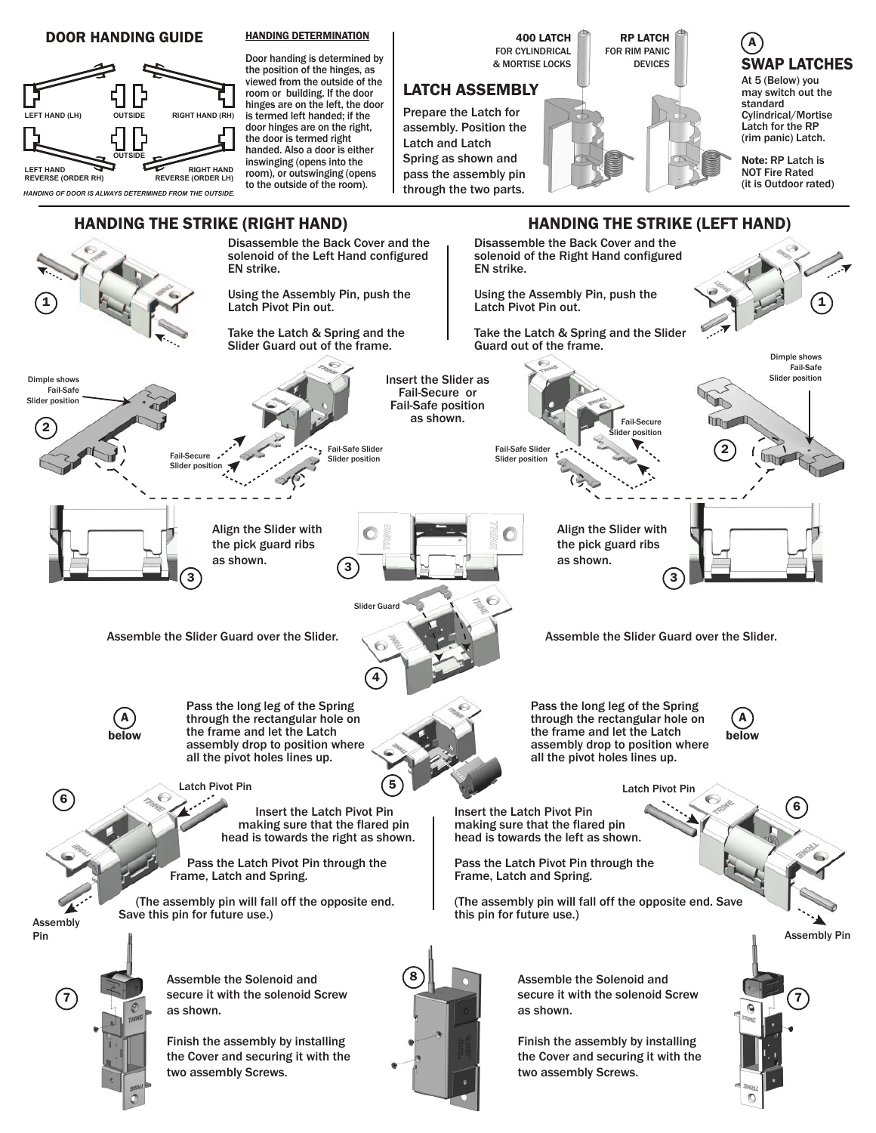#### DOOR HANDING GUIDE



#### HANDING DETERMINATION

Door handing is determined by the position of the hinges, as viewed from the outside of the room or building. If the door hinges are on the left, the door is termed left handed; if the door hinges are on the right, the door is termed right handed. Also a door is either inswinging (opens into the room), or outswinging (opens to the outside of the room).

400 LATCH FOR CYLINDRICAL & MORTISE LOCKS

## LATCH ASSEMBLY

Prepare the Latch for assembly. Position the Latch and Latch Spring as shown and pass the assembly pin through the two parts.

RP LATCH FOR RIM PANIC DEVICES

A SWAP LATCHES

At 5 (Below) you may switch out the standard Cylindrical/Mortise Latch for the RP (rim panic) Latch.

Note: RP Latch is NOT Fire Rated (it is Outdoor rated)

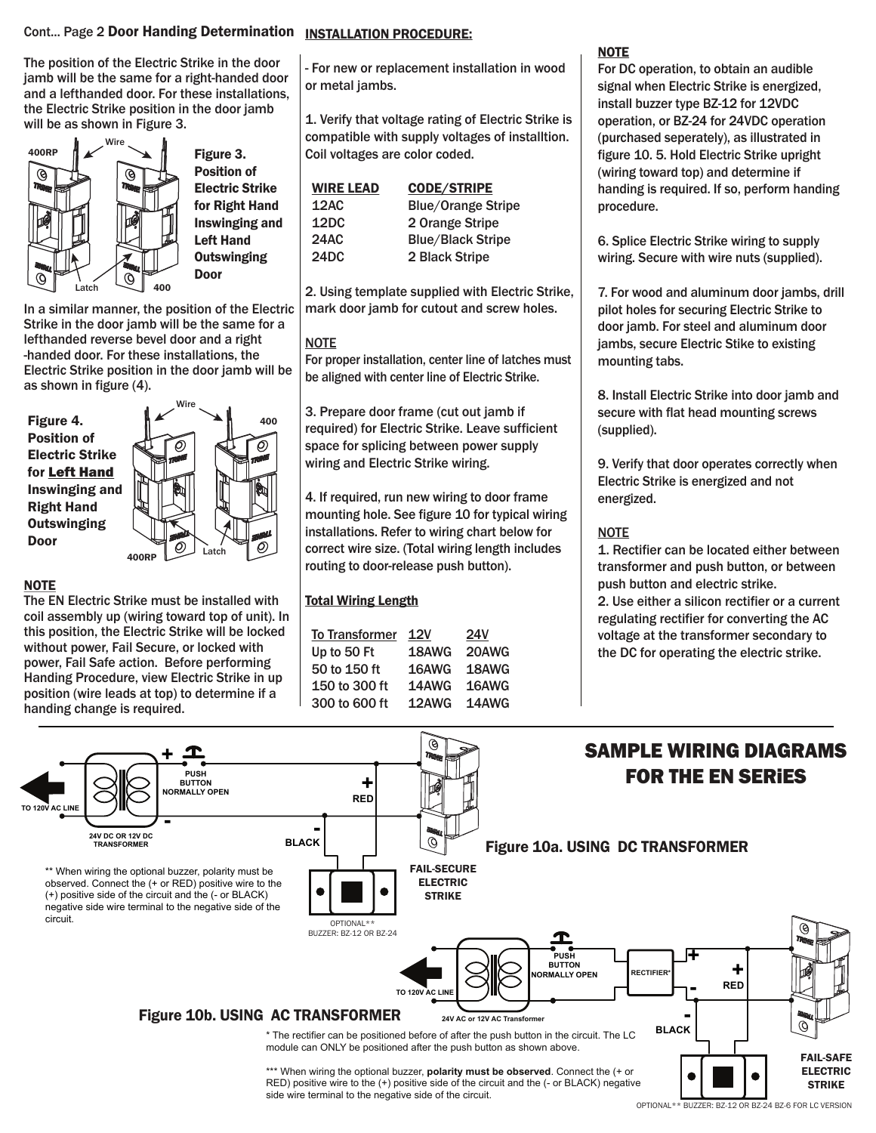### Cont... Page 2 Door Handing Determination INSTALLATION PROCEDURE:

The position of the Electric Strike in the door jamb will be the same for a right-handed door and a lefthanded door. For these installations, the Electric Strike position in the door jamb will be as shown in Figure 3.



Figure 3. Position of Electric Strike for Right Hand Inswinging and Left Hand **Outswinging** Door

In a similar manner, the position of the Electric Strike in the door jamb will be the same for a lefthanded reverse bevel door and a right -handed door. For these installations, the Electric Strike position in the door jamb will be as shown in figure (4).

Figure 4. Position of Electric Strike for Left Hand Inswinging and Right Hand **Outswinging** Door



#### **NOTE**

The EN Electric Strike must be installed with coil assembly up (wiring toward top of unit). In this position, the Electric Strike will be locked without power, Fail Secure, or locked with power, Fail Safe action. Before performing Handing Procedure, view Electric Strike in up position (wire leads at top) to determine if a handing change is required.

- For new or replacement installation in wood or metal jambs.

1. Verify that voltage rating of Electric Strike is compatible with supply voltages of installtion. Coil voltages are color coded.

| <b>WIRE LEAD</b> | <b>CODE/STRIPE</b>        |
|------------------|---------------------------|
| 12AC             | <b>Blue/Orange Stripe</b> |
| 12DC             | 2 Orange Stripe           |
| <b>24AC</b>      | <b>Blue/Black Stripe</b>  |
| 24DC             | 2 Black Stripe            |

2. Using template supplied with Electric Strike, mark door jamb for cutout and screw holes.

#### **NOTE**

For proper installation, center line of latches must be aligned with center line of Electric Strike.

3. Prepare door frame (cut out jamb if required) for Electric Strike. Leave sufficient space for splicing between power supply wiring and Electric Strike wiring.

4. If required, run new wiring to door frame mounting hole. See figure 10 for typical wiring installations. Refer to wiring chart below for correct wire size. (Total wiring length includes routing to door-release push button).

#### Total Wiring Length

| <b>To Transformer</b> | 12V   | <b>24V</b> |
|-----------------------|-------|------------|
| Up to 50 Ft           | 18AWG | 20AWG      |
| 50 to 150 ft          | 16AWG | 18AWG      |
| 150 to 300 ft         | 14AWG | 16AWG      |
| 300 to 600 ft         | 12AWG | 14AWG      |

#### **NOTE**

For DC operation, to obtain an audible signal when Electric Strike is energized, install buzzer type BZ-12 for 12VDC operation, or BZ-24 for 24VDC operation (purchased seperately), as illustrated in figure 10. 5. Hold Electric Strike upright (wiring toward top) and determine if handing is required. If so, perform handing procedure.

6. Splice Electric Strike wiring to supply wiring. Secure with wire nuts (supplied).

7. For wood and aluminum door jambs, drill pilot holes for securing Electric Strike to door jamb. For steel and aluminum door jambs, secure Electric Stike to existing mounting tabs.

8. Install Electric Strike into door jamb and secure with flat head mounting screws (supplied).

9. Verify that door operates correctly when Electric Strike is energized and not energized.

#### **NOTE**

1. Rectifier can be located either between transformer and push button, or between push button and electric strike.

2. Use either a silicon rectifier or a current regulating rectifier for converting the AC voltage at the transformer secondary to the DC for operating the electric strike.



OPTIONAL\*\* BUZZER: BZ-12 OR BZ-24 BZ-6 FOR LC VERSION